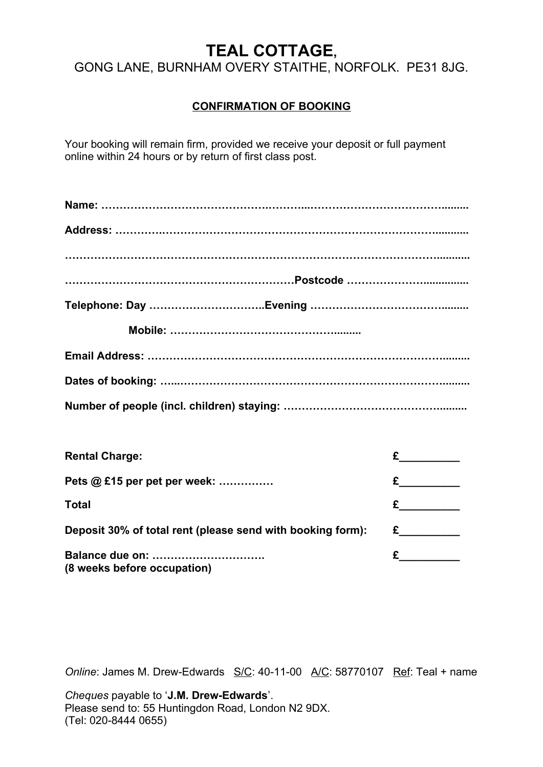# **TEAL COTTAGE,**

GONG LANE, BURNHAM OVERY STAITHE, NORFOLK. PE31 8JG.

# **CONFIRMATION OF BOOKING**

Your booking will remain firm, provided we receive your deposit or full payment online within 24 hours or by return of first class post.

| <b>Rental Charge:</b>                                      | $E$ and $E$ and $E$ and $E$ and $E$ and $E$ and $E$ and $E$ and $E$ and $E$ and $E$ and $E$ and $E$ and $E$ and $E$ and $E$ and $E$ and $E$ and $E$ and $E$ and $E$ and $E$ and $E$ and $E$ and $E$ and $E$ and $E$ and $E$ a |
|------------------------------------------------------------|-------------------------------------------------------------------------------------------------------------------------------------------------------------------------------------------------------------------------------|
| Pets @ £15 per pet per week:                               |                                                                                                                                                                                                                               |
| <b>Total</b>                                               | $\epsilon$ and $\epsilon$                                                                                                                                                                                                     |
| Deposit 30% of total rent (please send with booking form): | $E$ and $E$ and $E$ and $E$ and $E$ and $E$ and $E$ and $E$ and $E$ and $E$ and $E$ and $E$ and $E$ and $E$ and $E$ and $E$ and $E$ and $E$ and $E$ and $E$ and $E$ and $E$ and $E$ and $E$ and $E$ and $E$ and $E$ and $E$ a |
| Balance due on:<br>(8 weeks before occupation)             |                                                                                                                                                                                                                               |

*Online*: James M. Drew-Edwards S/C: 40-11-00 A/C: 58770107 Ref: Teal + name

*Cheques* payable to '**J.M. Drew-Edwards**'. Please send to: 55 Huntingdon Road, London N2 9DX. (Tel: 020-8444 0655)